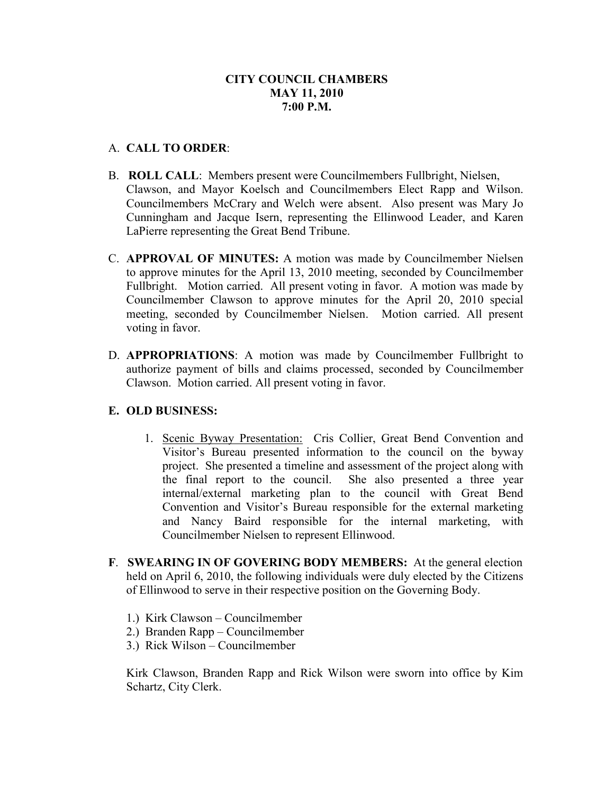# **CITY COUNCIL CHAMBERS MAY 11, 2010 7:00 P.M.**

## A. **CALL TO ORDER**:

- B. **ROLL CALL**: Members present were Councilmembers Fullbright, Nielsen, Clawson, and Mayor Koelsch and Councilmembers Elect Rapp and Wilson. Councilmembers McCrary and Welch were absent. Also present was Mary Jo Cunningham and Jacque Isern, representing the Ellinwood Leader, and Karen LaPierre representing the Great Bend Tribune.
- C. **APPROVAL OF MINUTES:** A motion was made by Councilmember Nielsen to approve minutes for the April 13, 2010 meeting, seconded by Councilmember Fullbright. Motion carried. All present voting in favor. A motion was made by Councilmember Clawson to approve minutes for the April 20, 2010 special meeting, seconded by Councilmember Nielsen. Motion carried. All present voting in favor.
- D. **APPROPRIATIONS**: A motion was made by Councilmember Fullbright to authorize payment of bills and claims processed, seconded by Councilmember Clawson. Motion carried. All present voting in favor.

## **E. OLD BUSINESS:**

- 1. Scenic Byway Presentation: Cris Collier, Great Bend Convention and Visitor's Bureau presented information to the council on the byway project. She presented a timeline and assessment of the project along with the final report to the council. She also presented a three year internal/external marketing plan to the council with Great Bend Convention and Visitor's Bureau responsible for the external marketing and Nancy Baird responsible for the internal marketing, with Councilmember Nielsen to represent Ellinwood.
- **F**. **SWEARING IN OF GOVERING BODY MEMBERS:** At the general election held on April 6, 2010, the following individuals were duly elected by the Citizens of Ellinwood to serve in their respective position on the Governing Body.
	- 1.) Kirk Clawson Councilmember
	- 2.) Branden Rapp Councilmember
	- 3.) Rick Wilson Councilmember

Kirk Clawson, Branden Rapp and Rick Wilson were sworn into office by Kim Schartz, City Clerk.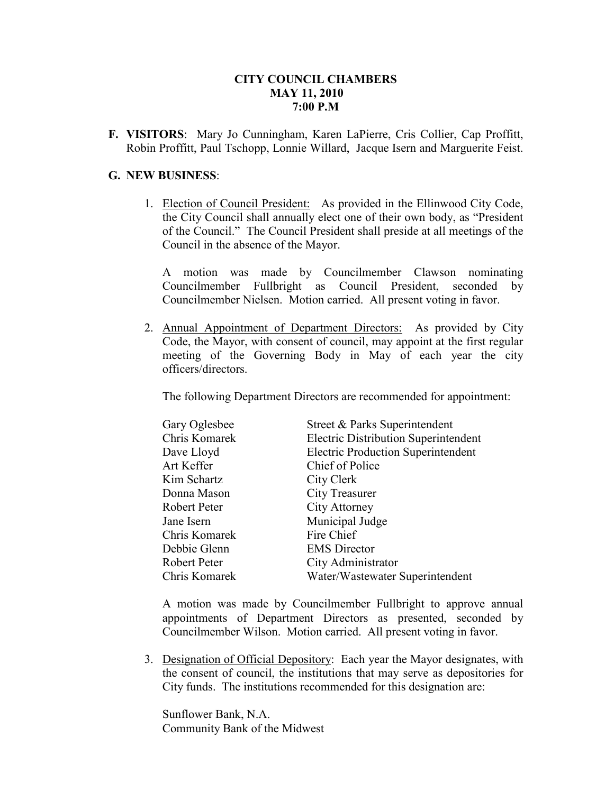## **CITY COUNCIL CHAMBERS MAY 11, 2010 7:00 P.M**

**F. VISITORS**: Mary Jo Cunningham, Karen LaPierre, Cris Collier, Cap Proffitt, Robin Proffitt, Paul Tschopp, Lonnie Willard, Jacque Isern and Marguerite Feist.

#### **G. NEW BUSINESS**:

1. Election of Council President: As provided in the Ellinwood City Code, the City Council shall annually elect one of their own body, as "President of the Council." The Council President shall preside at all meetings of the Council in the absence of the Mayor.

A motion was made by Councilmember Clawson nominating Councilmember Fullbright as Council President, seconded by Councilmember Nielsen. Motion carried. All present voting in favor.

2. Annual Appointment of Department Directors: As provided by City Code, the Mayor, with consent of council, may appoint at the first regular meeting of the Governing Body in May of each year the city officers/directors.

The following Department Directors are recommended for appointment:

| Gary Oglesbee | Street & Parks Superintendent               |
|---------------|---------------------------------------------|
| Chris Komarek | <b>Electric Distribution Superintendent</b> |
| Dave Lloyd    | <b>Electric Production Superintendent</b>   |
| Art Keffer    | Chief of Police                             |
| Kim Schartz   | City Clerk                                  |
| Donna Mason   | <b>City Treasurer</b>                       |
| Robert Peter  | City Attorney                               |
| Jane Isern    | Municipal Judge                             |
| Chris Komarek | Fire Chief                                  |
| Debbie Glenn  | <b>EMS</b> Director                         |
| Robert Peter  | City Administrator                          |
| Chris Komarek | Water/Wastewater Superintendent             |

A motion was made by Councilmember Fullbright to approve annual appointments of Department Directors as presented, seconded by Councilmember Wilson. Motion carried. All present voting in favor.

3. Designation of Official Depository: Each year the Mayor designates, with the consent of council, the institutions that may serve as depositories for City funds. The institutions recommended for this designation are:

Sunflower Bank, N.A. Community Bank of the Midwest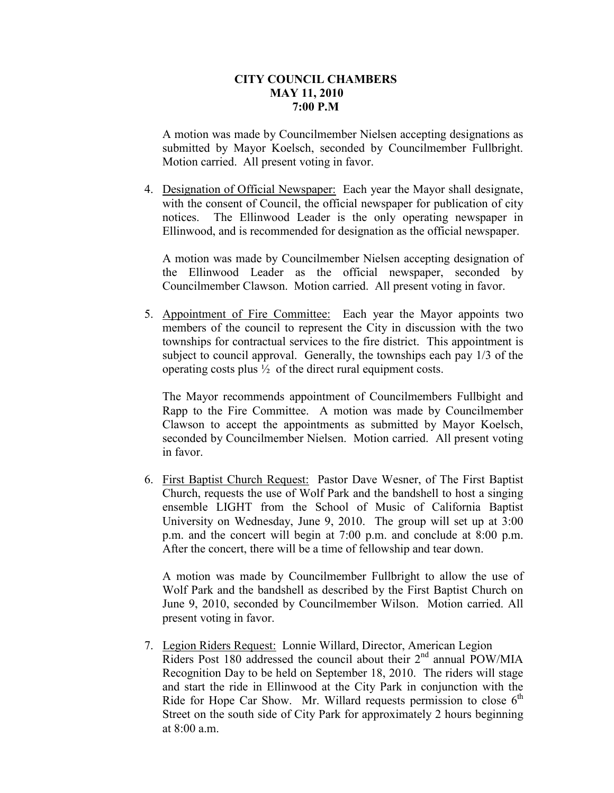### **CITY COUNCIL CHAMBERS MAY 11, 2010 7:00 P.M**

A motion was made by Councilmember Nielsen accepting designations as submitted by Mayor Koelsch, seconded by Councilmember Fullbright. Motion carried. All present voting in favor.

4. Designation of Official Newspaper: Each year the Mayor shall designate, with the consent of Council, the official newspaper for publication of city notices. The Ellinwood Leader is the only operating newspaper in Ellinwood, and is recommended for designation as the official newspaper.

A motion was made by Councilmember Nielsen accepting designation of the Ellinwood Leader as the official newspaper, seconded by Councilmember Clawson. Motion carried. All present voting in favor.

5. Appointment of Fire Committee: Each year the Mayor appoints two members of the council to represent the City in discussion with the two townships for contractual services to the fire district. This appointment is subject to council approval. Generally, the townships each pay 1/3 of the operating costs plus ½ of the direct rural equipment costs.

The Mayor recommends appointment of Councilmembers Fullbight and Rapp to the Fire Committee. A motion was made by Councilmember Clawson to accept the appointments as submitted by Mayor Koelsch, seconded by Councilmember Nielsen. Motion carried. All present voting in favor.

6. First Baptist Church Request: Pastor Dave Wesner, of The First Baptist Church, requests the use of Wolf Park and the bandshell to host a singing ensemble LIGHT from the School of Music of California Baptist University on Wednesday, June 9, 2010. The group will set up at 3:00 p.m. and the concert will begin at 7:00 p.m. and conclude at 8:00 p.m. After the concert, there will be a time of fellowship and tear down.

A motion was made by Councilmember Fullbright to allow the use of Wolf Park and the bandshell as described by the First Baptist Church on June 9, 2010, seconded by Councilmember Wilson. Motion carried. All present voting in favor.

7. Legion Riders Request: Lonnie Willard, Director, American Legion Riders Post 180 addressed the council about their 2<sup>nd</sup> annual POW/MIA Recognition Day to be held on September 18, 2010. The riders will stage and start the ride in Ellinwood at the City Park in conjunction with the Ride for Hope Car Show. Mr. Willard requests permission to close  $6<sup>th</sup>$ Street on the south side of City Park for approximately 2 hours beginning at 8:00 a.m.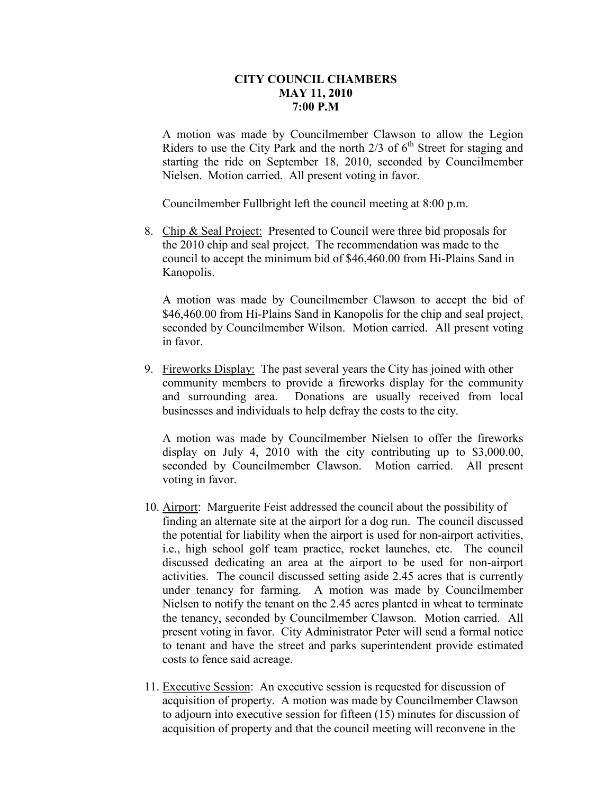### **CITY COUNCIL CHAMBERS MAY 11, 2010 7:00 P.M**

A motion was made by Councilmember Clawson to allow the Legion Riders to use the City Park and the north  $2/3$  of  $6<sup>th</sup>$  Street for staging and starting the ride on September 18, 2010, seconded by Councilmember Nielsen. Motion carried. All present voting in favor.

Councilmember Fullbright left the council meeting at 8:00 p.m.

8. Chip & Seal Project: Presented to Council were three bid proposals for the 2010 chip and seal project. The recommendation was made to the council to accept the minimum bid of \$46,460.00 from Hi-Plains Sand in Kanopolis.

A motion was made by Councilmember Clawson to accept the bid of \$46,460.00 from Hi-Plains Sand in Kanopolis for the chip and seal project, seconded by Councilmember Wilson. Motion carried. All present voting in favor.

9. Fireworks Display: The past several years the City has joined with other community members to provide a fireworks display for the community and surrounding area. Donations are usually received from local businesses and individuals to help defray the costs to the city.

A motion was made by Councilmember Nielsen to offer the fireworks display on July 4, 2010 with the city contributing up to \$3,000.00, seconded by Councilmember Clawson. Motion carried. All present voting in favor.

- 10. Airport: Marguerite Feist addressed the council about the possibility of finding an alternate site at the airport for a dog run. The council discussed the potential for liability when the airport is used for non-airport activities, i.e., high school golf team practice, rocket launches, etc. The council discussed dedicating an area at the airport to be used for non-airport activities. The council discussed setting aside 2.45 acres that is currently under tenancy for farming. A motion was made by Councilmember Nielsen to notify the tenant on the 2.45 acres planted in wheat to terminate the tenancy, seconded by Councilmember Clawson. Motion carried. All present voting in favor. City Administrator Peter will send a formal notice to tenant and have the street and parks superintendent provide estimated costs to fence said acreage.
- 11. Executive Session: An executive session is requested for discussion of acquisition of property. A motion was made by Councilmember Clawson to adjourn into executive session for fifteen (15) minutes for discussion of acquisition of property and that the council meeting will reconvene in the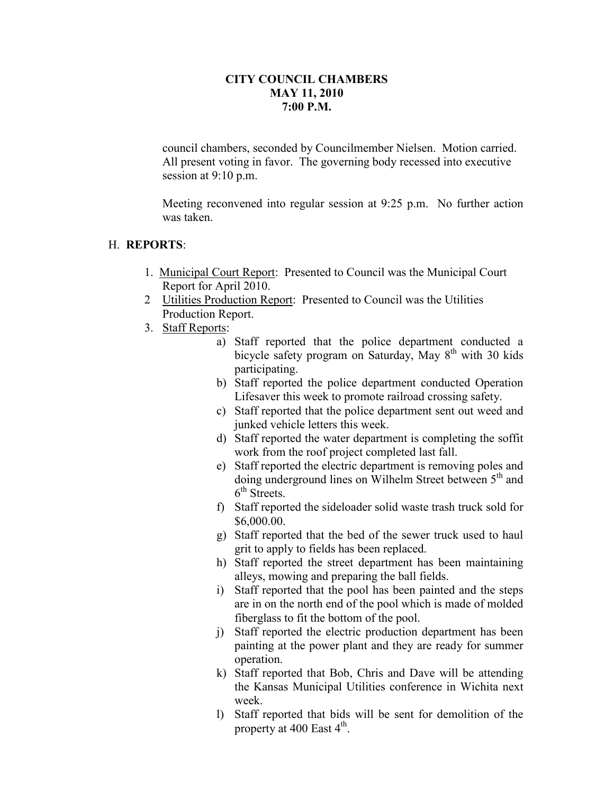## **CITY COUNCIL CHAMBERS MAY 11, 2010 7:00 P.M.**

council chambers, seconded by Councilmember Nielsen. Motion carried. All present voting in favor. The governing body recessed into executive session at 9:10 p.m.

Meeting reconvened into regular session at 9:25 p.m. No further action was taken.

## H. **REPORTS**:

- 1. Municipal Court Report: Presented to Council was the Municipal Court Report for April 2010.
- 2 Utilities Production Report: Presented to Council was the Utilities Production Report.
- 3. Staff Reports:
	- a) Staff reported that the police department conducted a bicycle safety program on Saturday, May  $8<sup>th</sup>$  with 30 kids participating.
	- b) Staff reported the police department conducted Operation Lifesaver this week to promote railroad crossing safety.
	- c) Staff reported that the police department sent out weed and junked vehicle letters this week.
	- d) Staff reported the water department is completing the soffit work from the roof project completed last fall.
	- e) Staff reported the electric department is removing poles and doing underground lines on Wilhelm Street between 5<sup>th</sup> and 6<sup>th</sup> Streets.
	- f) Staff reported the sideloader solid waste trash truck sold for \$6,000.00.
	- g) Staff reported that the bed of the sewer truck used to haul grit to apply to fields has been replaced.
	- h) Staff reported the street department has been maintaining alleys, mowing and preparing the ball fields.
	- i) Staff reported that the pool has been painted and the steps are in on the north end of the pool which is made of molded fiberglass to fit the bottom of the pool.
	- j) Staff reported the electric production department has been painting at the power plant and they are ready for summer operation.
	- k) Staff reported that Bob, Chris and Dave will be attending the Kansas Municipal Utilities conference in Wichita next week.
	- l) Staff reported that bids will be sent for demolition of the property at 400 East  $4^{\text{th}}$ .